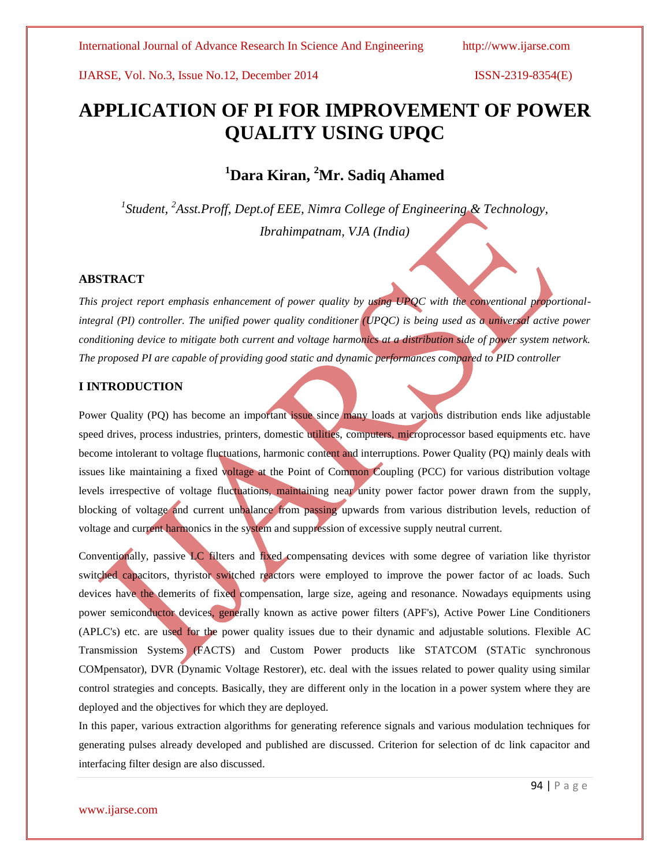# **APPLICATION OF PI FOR IMPROVEMENT OF POWER QUALITY USING UPQC**

# **<sup>1</sup>Dara Kiran, <sup>2</sup>Mr. Sadiq Ahamed**

*1 Student, <sup>2</sup> Asst.Proff, Dept.of EEE, Nimra College of Engineering & Technology, Ibrahimpatnam, VJA (India)*

#### **ABSTRACT**

*This project report emphasis enhancement of power quality by using UPQC with the conventional proportionalintegral (PI) controller. The unified power quality conditioner (UPOC) is being used as a universal active power conditioning device to mitigate both current and voltage harmonics at a distribution side of power system network. The proposed PI are capable of providing good static and dynamic performances compared to PID controller*

## **I INTRODUCTION**

Power Quality (PQ) has become an important issue since many loads at various distribution ends like adjustable speed drives, process industries, printers, domestic utilities, computers, microprocessor based equipments etc. have become intolerant to voltage fluctuations, harmonic content and interruptions. Power Quality (PQ) mainly deals with issues like maintaining a fixed voltage at the Point of Common Coupling (PCC) for various distribution voltage levels irrespective of voltage fluctuations, maintaining near unity power factor power drawn from the supply, blocking of voltage and current unbalance from passing upwards from various distribution levels, reduction of voltage and current harmonics in the system and suppression of excessive supply neutral current.

Conventionally, passive LC filters and fixed compensating devices with some degree of variation like thyristor switched capacitors, thyristor switched reactors were employed to improve the power factor of ac loads. Such devices have the demerits of fixed compensation, large size, ageing and resonance. Nowadays equipments using power semiconductor devices, generally known as active power filters (APF's), Active Power Line Conditioners (APLC's) etc. are used for the power quality issues due to their dynamic and adjustable solutions. Flexible AC Transmission Systems (FACTS) and Custom Power products like STATCOM (STATic synchronous COMpensator), DVR (Dynamic Voltage Restorer), etc. deal with the issues related to power quality using similar control strategies and concepts. Basically, they are different only in the location in a power system where they are deployed and the objectives for which they are deployed.

In this paper, various extraction algorithms for generating reference signals and various modulation techniques for generating pulses already developed and published are discussed. Criterion for selection of dc link capacitor and interfacing filter design are also discussed.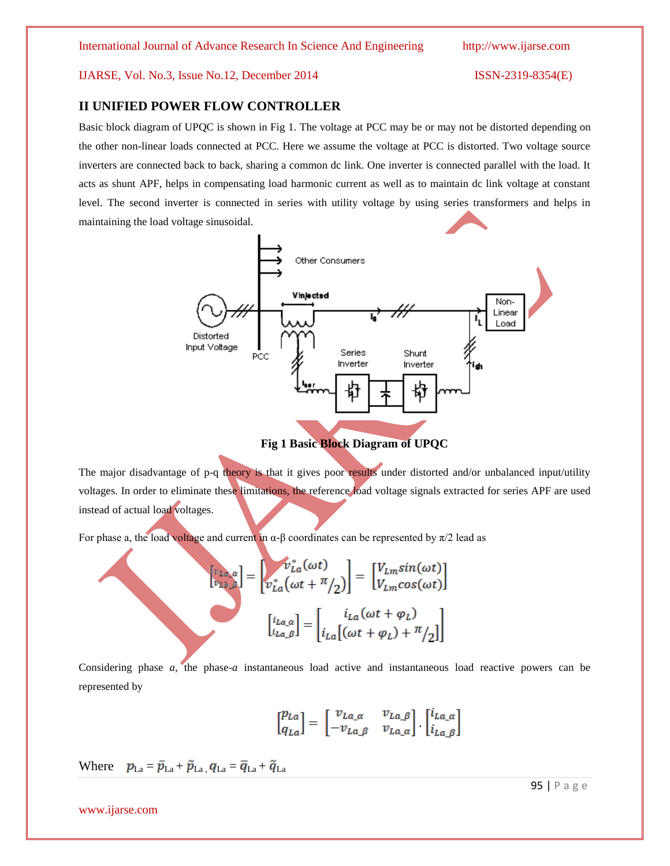## **II UNIFIED POWER FLOW CONTROLLER**

Basic block diagram of UPQC is shown in Fig 1. The voltage at PCC may be or may not be distorted depending on the other non-linear loads connected at PCC. Here we assume the voltage at PCC is distorted. Two voltage source inverters are connected back to back, sharing a common dc link. One inverter is connected parallel with the load. It acts as shunt APF, helps in compensating load harmonic current as well as to maintain dc link voltage at constant level. The second inverter is connected in series with utility voltage by using series transformers and helps in maintaining the load voltage sinusoidal.



**Fig 1 Basic Block Diagram of UPQC**

The major disadvantage of p-q theory is that it gives poor results under distorted and/or unbalanced input/utility voltages. In order to eliminate these limitations, the reference load voltage signals extracted for series APF are used instead of actual load voltages.

For phase a, the load voltage and current in  $\alpha$ -β coordinates can be represented by  $\pi/2$  lead as

$$
\begin{bmatrix} v_{La,a} \\ v_{lb,\beta} \end{bmatrix} = \begin{bmatrix} v_{La}^*(\omega t) \\ v_{La}^*(\omega t + \pi/2) \end{bmatrix} = \begin{bmatrix} V_{Lm}sin(\omega t) \\ V_{Lm}cos(\omega t) \end{bmatrix}
$$

$$
\begin{bmatrix} i_{La,a} \\ i_{La,\beta} \end{bmatrix} = \begin{bmatrix} i_{La}(\omega t + \varphi_L) \\ i_{La}[(\omega t + \varphi_L) + \pi/2] \end{bmatrix}
$$

Considering phase *a*, the phase-*a* instantaneous load active and instantaneous load reactive powers can be represented by

$$
\begin{bmatrix} p_{La} \\ q_{La} \end{bmatrix} = \begin{bmatrix} v_{La\_a} & v_{La\_a} \\ -v_{La\_a} & v_{La\_a} \end{bmatrix} \cdot \begin{bmatrix} i_{La\_a} \\ i_{La\_B} \end{bmatrix}
$$

Where  $p_{\text{La}} = \bar{p}_{\text{La}} + \tilde{p}_{\text{La}} q_{\text{La}} = \bar{q}_{\text{La}} + \tilde{q}_{\text{La}}$ 

www.ijarse.com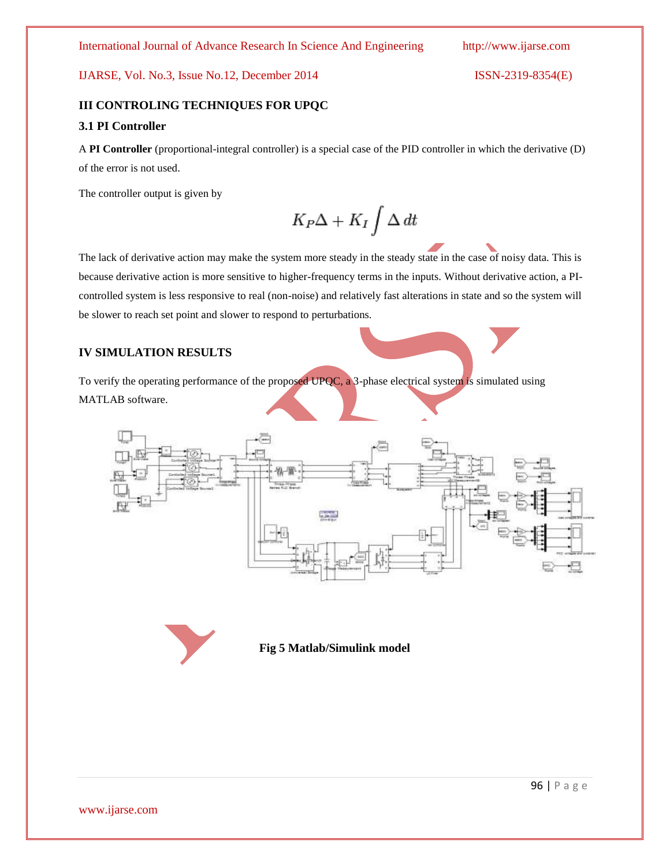# **III CONTROLING TECHNIQUES FOR UPQC 3.1 PI Controller**

A **PI Controller** (proportional-integral controller) is a special case of the PID controller in which the derivative (D) of the error is not used.

The controller output is given by

$$
K_P\Delta + K_I \int \Delta dt
$$

The lack of derivative action may make the system more steady in the steady state in the case of noisy data. This is because derivative action is more sensitive to higher-frequency terms in the inputs. Without derivative action, a PIcontrolled system is less responsive to real (non-noise) and relatively fast alterations in state and so the system will be slower to reach set point and slower to respond to perturbations.

## **IV SIMULATION RESULTS**

To verify the operating performance of the proposed UPQC, a 3-phase electrical system is simulated using MATLAB software.



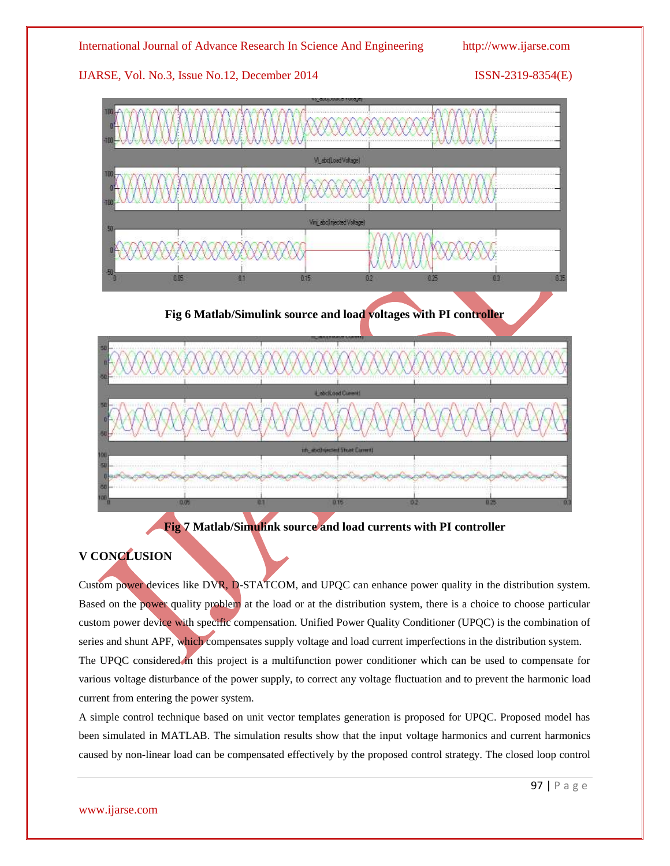



# **V CONCLUSION**

Custom power devices like DVR, D-STATCOM, and UPQC can enhance power quality in the distribution system. Based on the power quality problem at the load or at the distribution system, there is a choice to choose particular custom power device with specific compensation. Unified Power Quality Conditioner (UPQC) is the combination of series and shunt APF, which compensates supply voltage and load current imperfections in the distribution system. The UPQC considered in this project is a multifunction power conditioner which can be used to compensate for various voltage disturbance of the power supply, to correct any voltage fluctuation and to prevent the harmonic load current from entering the power system.

A simple control technique based on unit vector templates generation is proposed for UPQC. Proposed model has been simulated in MATLAB. The simulation results show that the input voltage harmonics and current harmonics caused by non-linear load can be compensated effectively by the proposed control strategy. The closed loop control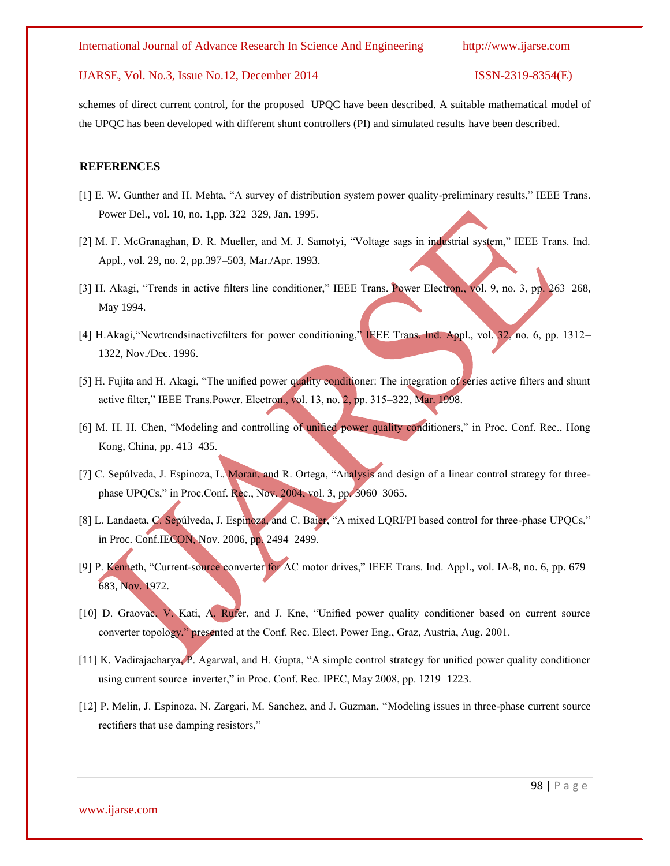schemes of direct current control, for the proposed UPQC have been described. A suitable mathematical model of the UPQC has been developed with different shunt controllers (PI) and simulated results have been described.

#### **REFERENCES**

- [1] E. W. Gunther and H. Mehta, "A survey of distribution system power quality-preliminary results," IEEE Trans. Power Del., vol. 10, no. 1,pp. 322–329, Jan. 1995.
- [2] M. F. McGranaghan, D. R. Mueller, and M. J. Samotyi, "Voltage sags in industrial system," IEEE Trans. Ind. Appl., vol. 29, no. 2, pp.397–503, Mar./Apr. 1993.
- [3] H. Akagi, "Trends in active filters line conditioner," IEEE Trans. Power Electron., vol. 9, no. 3, pp. 263–268, May 1994.
- [4] H.Akagi,"Newtrendsinactivefilters for power conditioning," IEEE Trans. Ind. Appl., vol. 32, no. 6, pp. 1312– 1322, Nov./Dec. 1996.
- [5] H. Fujita and H. Akagi, "The unified power quality conditioner: The integration of series active filters and shunt active filter," IEEE Trans.Power. Electron., vol. 13, no. 2, pp. 315–322, Mar. 1998.
- [6] M. H. H. Chen, "Modeling and controlling of unified power quality conditioners," in Proc. Conf. Rec., Hong Kong, China, pp. 413–435.
- [7] C. Sepúlveda, J. Espinoza, L. Moran, and R. Ortega, "Analysis and design of a linear control strategy for threephase UPQCs," in Proc.Conf. Rec., Nov. 2004, vol. 3, pp. 3060–3065.
- [8] L. Landaeta, C. Sepúlveda, J. Espinoza, and C. Baier, "A mixed LQRI/PI based control for three-phase UPQCs," in Proc. Conf.IECON, Nov. 2006, pp. 2494–2499.
- [9] P. Kenneth, "Current-source converter for AC motor drives," IEEE Trans. Ind. Appl., vol. IA-8, no. 6, pp. 679– 683, Nov. 1972.
- [10] D. Graovac, V. Kati, A. Rufer, and J. Kne, "Unified power quality conditioner based on current source converter topology," presented at the Conf. Rec. Elect. Power Eng., Graz, Austria, Aug. 2001.
- [11] K. Vadirajacharya, P. Agarwal, and H. Gupta, "A simple control strategy for unified power quality conditioner using current source inverter," in Proc. Conf. Rec. IPEC, May 2008, pp. 1219–1223.
- [12] P. Melin, J. Espinoza, N. Zargari, M. Sanchez, and J. Guzman, "Modeling issues in three-phase current source rectifiers that use damping resistors,"